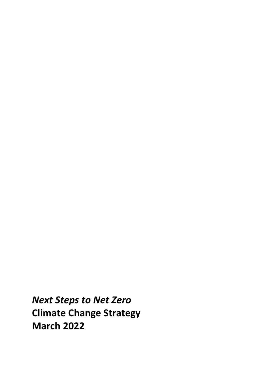*Next Steps to Net Zero* **Climate Change Strategy March 2022**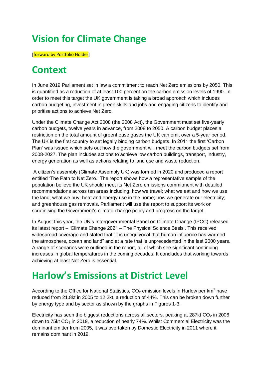### **Vision for Climate Change**

[forward by Portfolio Holder]

### **Context**

In June 2019 Parliament set in law a commitment to reach Net Zero emissions by 2050. This is quantified as a reduction of at least 100 percent on the carbon emission levels of 1990. In order to meet this target the UK government is taking a broad approach which includes carbon budgeting, investment in green skills and jobs and engaging citizens to identify and prioritise actions to achieve Net Zero.

Under the Climate Change Act 2008 (the 2008 Act), the Government must set five-yearly carbon budgets, twelve years in advance, from 2008 to 2050. A carbon budget places a restriction on the total amount of greenhouse gases the UK can emit over a 5-year period. The UK is the first country to set legally binding carbon budgets. In 2011 the first 'Carbon Plan' was issued which sets out how the government will meet the carbon budgets set from 2008-2027. The plan includes actions to achieve low carbon buildings, transport, industry, energy generation as well as actions relating to land use and waste reduction.

A citizen's assembly (Climate Assembly UK) was formed in 2020 and produced a report entitled 'The Path to Net Zero.' The report shows how a representative sample of the population believe the UK should meet its Net Zero emissions commitment with detailed recommendations across ten areas including: how we travel; what we eat and how we use the land; what we buy; heat and energy use in the home; how we generate our electricity; and greenhouse gas removals. Parliament will use the report to support its work on scrutinising the Government's climate change policy and progress on the target.

In August this year, the UN's Intergovernmental Panel on Climate Change (IPCC) released its latest report – 'Climate Change 2021 – The Physical Science Basis'. This received widespread coverage and stated that "it is unequivocal that human influence has warmed the atmosphere, ocean and land" and at a rate that is unprecedented in the last 2000 years. A range of scenarios were outlined in the report, all of which see significant continuing increases in global temperatures in the coming decades. It concludes that working towards achieving at least Net Zero is essential.

### **Harlow's Emissions at District Level**

According to the Office for National Statistics,  $CO<sub>2</sub>$  emission levels in Harlow per km<sup>2</sup> have reduced from 21.8kt in 2005 to 12.2kt, a reduction of 44%. This can be broken down further by energy type and by sector as shown by the graphs in Figures 1-3.

Electricity has seen the biggest reductions across all sectors, peaking at 287kt  $CO<sub>2</sub>$  in 2006 down to 75kt  $CO<sub>2</sub>$  in 2019, a reduction of nearly 74%. Whilst Commercial Electricity was the dominant emitter from 2005, it was overtaken by Domestic Electricity in 2011 where it remains dominant in 2019.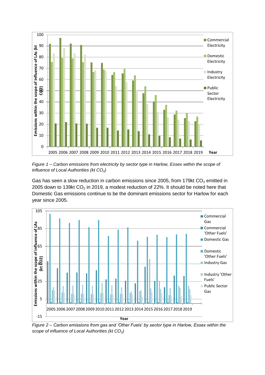

*Figure 1 – Carbon emissions from electricity by sector type in Harlow, Essex within the scope of influence of Local Authorities (kt CO<sub>2</sub>)* 

Gas has seen a slow reduction in carbon emissions since 2005, from 179 $kt CO<sub>2</sub>$  emitted in 2005 down to 139kt  $CO<sub>2</sub>$  in 2019, a modest reduction of 22%. It should be noted here that Domestic Gas emissions continue to be the dominant emissions sector for Harlow for each year since 2005.



*Figure 2 – Carbon emissions from gas and 'Other Fuels' by sector type in Harlow, Essex within the scope of influence of Local Authorities (kt CO2)*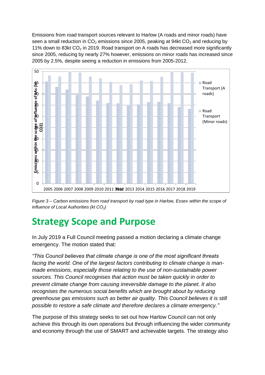Emissions from road transport sources relevant to Harlow (A roads and minor roads) have seen a small reduction in  $CO<sub>2</sub>$  emissions since 2005, peaking at 94kt  $CO<sub>2</sub>$  and reducing by 11% down to 83kt  $CO<sub>2</sub>$  in 2019. Road transport on A roads has decreased more significantly since 2005, reducing by nearly 27% however, emissions on minor roads has increased since 2005 by 2.5%, despite seeing a reduction in emissions from 2005-2012.



*Figure 3 – Carbon emissions from road transport by road type in Harlow, Essex within the scope of influence of Local Authorities (kt CO2)*

### **Strategy Scope and Purpose**

In July 2019 a Full Council meeting passed a motion declaring a climate change emergency. The motion stated that:

*"This Council believes that climate change is one of the most significant threats facing the world. One of the largest factors contributing to climate change is manmade emissions, especially those relating to the use of non-sustainable power sources. This Council recognises that action must be taken quickly in order to prevent climate change from causing irreversible damage to the planet. It also recognises the numerous social benefits which are brought about by reducing greenhouse gas emissions such as better air quality. This Council believes it is still possible to restore a safe climate and therefore declares a climate emergency."*

The purpose of this strategy seeks to set out how Harlow Council can not only achieve this through its own operations but through influencing the wider community and economy through the use of SMART and achievable targets. The strategy also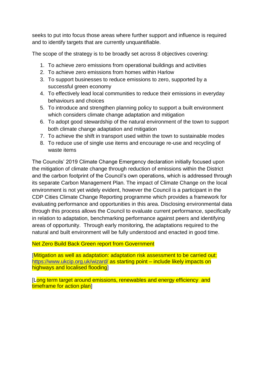seeks to put into focus those areas where further support and influence is required and to identify targets that are currently unquantifiable.

The scope of the strategy is to be broadly set across 8 objectives covering:

- 1. To achieve zero emissions from operational buildings and activities
- 2. To achieve zero emissions from homes within Harlow
- 3. To support businesses to reduce emissions to zero, supported by a successful green economy
- 4. To effectively lead local communities to reduce their emissions in everyday behaviours and choices
- 5. To introduce and strengthen planning policy to support a built environment which considers climate change adaptation and mitigation
- 6. To adopt good stewardship of the natural environment of the town to support both climate change adaptation and mitigation
- 7. To achieve the shift in transport used within the town to sustainable modes
- 8. To reduce use of single use items and encourage re-use and recycling of waste items

The Councils' 2019 Climate Change Emergency declaration initially focused upon the mitigation of climate change through reduction of emissions within the District and the carbon footprint of the Council's own operations, which is addressed through its separate Carbon Management Plan. The impact of Climate Change on the local environment is not yet widely evident, however the Council is a participant in the CDP Cities Climate Change Reporting programme which provides a framework for evaluating performance and opportunities in this area. Disclosing environmental data through this process allows the Council to evaluate current performance, specifically in relation to adaptation, benchmarking performance against peers and identifying areas of opportunity. Through early monitoring, the adaptations required to the natural and built environment will be fully understood and enacted in good time.

Net Zero Build Back Green report from Government

[Mitigation as well as adaptation: adaptation risk assessment to be carried out: <https://www.ukcip.org.uk/wizard/> as starting point – include likely impacts on highways and localised flooding]

[Long term target around emissions, renewables and energy efficiency and timeframe for action plan]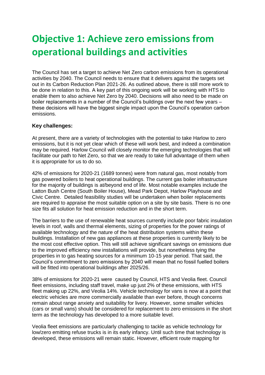### **Objective 1: Achieve zero emissions from operational buildings and activities**

The Council has set a target to achieve Net Zero carbon emissions from its operational activities by 2040. The Council needs to ensure that it delivers against the targets set out in its Carbon Reduction Plan 2021-26. As outlined above, there is still more work to be done in relation to this. A key part of this ongoing work will be working with HTS to enable them to also achieve Net Zero by 2040. Decisions will also need to be made on boiler replacements in a number of the Council's buildings over the next few years – these decisions will have the biggest single impact upon the Council's operation carbon emissions.

#### **Key challenges:**

At present, there are a variety of technologies with the potential to take Harlow to zero emissions, but it is not yet clear which of these will work best, and indeed a combination may be required. Harlow Council will closely monitor the emerging technologies that will facilitate our path to Net Zero, so that we are ready to take full advantage of them when it is appropriate for us to do so.

42% of emissions for 2020-21 (1689 tonnes) were from natural gas, most notably from gas powered boilers to heat operational buildings. The current gas boiler infrastructure for the majority of buildings is at/beyond end of life. Most notable examples include the Latton Bush Centre (South Boiler House), Mead Park Depot, Harlow Playhouse and Civic Centre. Detailed feasibility studies will be undertaken when boiler replacements are required to appraise the most suitable option on a site by site basis. There is no one size fits all solution for heat emission reduction and in the short term.

The barriers to the use of renewable heat sources currently include poor fabric insulation levels in roof, walls and thermal elements, sizing of properties for the power ratings of available technology and the nature of the heat distribution systems within these buildings. Installation of new gas appliances at these properties is currently likely to be the most cost effective option. This will still achieve significant savings on emissions due to the improved efficiency new installations will provide, but nonetheless tying the properties in to gas heating sources for a minimum 10-15 year period. That said, the Council's commitment to zero emissions by 2040 will mean that no fossil fuelled boilers will be fitted into operational buildings after 2025/26.

38% of emissions for 2020-21 were caused by Council, HTS and Veolia fleet. Council fleet emissions, including staff travel, make up just 2% of these emissions, with HTS fleet making up 22%, and Veolia 14%. Vehicle technology for vans is now at a point that electric vehicles are more commercially available than ever before, though concerns remain about range anxiety and suitability for livery. However, some smaller vehicles (cars or small vans) should be considered for replacement to zero emissions in the short term as the technology has developed to a more suitable level.

Veolia fleet emissions are particularly challenging to tackle as vehicle technology for low/zero emitting refuse trucks is in its early infancy. Until such time that technology is developed, these emissions will remain static. However, efficient route mapping for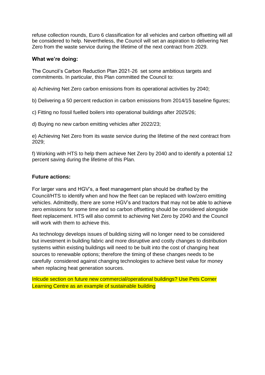refuse collection rounds, Euro 6 classification for all vehicles and carbon offsetting will all be considered to help. Nevertheless, the Council will set an aspiration to delivering Net Zero from the waste service during the lifetime of the next contract from 2029.

#### **What we're doing:**

The Council's Carbon Reduction Plan 2021-26 set some ambitious targets and commitments. In particular, this Plan committed the Council to:

a) Achieving Net Zero carbon emissions from its operational activities by 2040;

b) Delivering a 50 percent reduction in carbon emissions from 2014/15 baseline figures;

c) Fitting no fossil fuelled boilers into operational buildings after 2025/26;

d) Buying no new carbon emitting vehicles after 2022/23;

e) Achieving Net Zero from its waste service during the lifetime of the next contract from 2029;

f) Working with HTS to help them achieve Net Zero by 2040 and to identify a potential 12 percent saving during the lifetime of this Plan.

#### **Future actions:**

For larger vans and HGV's, a fleet management plan should be drafted by the Council/HTS to identify when and how the fleet can be replaced with low/zero emitting vehicles. Admittedly, there are some HGV's and tractors that may not be able to achieve zero emissions for some time and so carbon offsetting should be considered alongside fleet replacement. HTS will also commit to achieving Net Zero by 2040 and the Council will work with them to achieve this.

As technology develops issues of building sizing will no longer need to be considered but investment in building fabric and more disruptive and costly changes to distribution systems within existing buildings will need to be built into the cost of changing heat sources to renewable options; therefore the timing of these changes needs to be carefully considered against changing technologies to achieve best value for money when replacing heat generation sources.

Inlcude section on future new commercial/operational buildings? Use Pets Corner Learning Centre as an example of sustainable building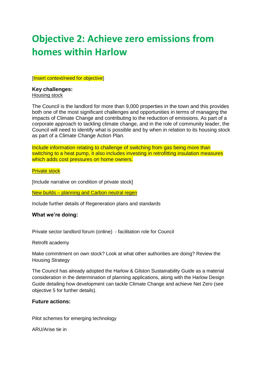### **Objective 2: Achieve zero emissions from homes within Harlow**

[Insert context/need for objective]

#### **Key challenges:** Housing stock

The Council is the landlord for more than 9,000 properties in the town and this provides both one of the most significant challenges and opportunities in terms of managing the impacts of Climate Change and contributing to the reduction of emissions. As part of a corporate approach to tackling climate change, and in the role of community leader, the Council will need to identify what is possible and by when in relation to its housing stock as part of a Climate Change Action Plan.

Include information relating to challenge of switching from gas being more than switching to a heat pump, it also includes investing in retrofitting insulation measures which adds cost pressures on home owners.

Private stock

[Include narrative on condition of private stock]

New builds – planning and Carbon neutral regen

Include further details of Regeneration plans and standards

#### **What we're doing:**

Private sector landlord forum (online) - facilitation role for Council

Retrofit academy

Make commitment on own stock? Look at what other authorities are doing? Review the Housing Strategy

The Council has already adopted the Harlow & Gilston Sustainability Guide as a material consideration in the determination of planning applications, along with the Harlow Design Guide detailing how development can tackle Climate Change and achieve Net Zero (see objective 5 for further details).

#### **Future actions:**

Pilot schemes for emerging technology

ARU/Arise tie in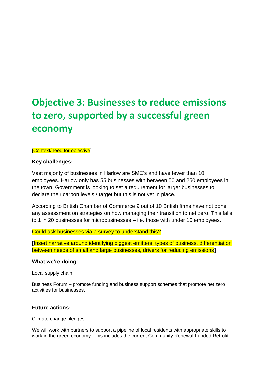## **Objective 3: Businesses to reduce emissions to zero, supported by a successful green economy**

[Context/need for objective]

#### **Key challenges:**

Vast majority of businesses in Harlow are SME's and have fewer than 10 employees. Harlow only has 55 businesses with between 50 and 250 employees in the town. Government is looking to set a requirement for larger businesses to declare their carbon levels / target but this is not yet in place.

According to British Chamber of Commerce 9 out of 10 British firms have not done any assessment on strategies on how managing their transition to net zero. This falls to 1 in 20 businesses for microbusinesses – i.e. those with under 10 employees.

Could ask businesses via a survey to understand this?

**[**Insert narrative around identifying biggest emitters, types of business, differentiation between needs of small and large businesses, drivers for reducing emissions**]**

#### **What we're doing:**

Local supply chain

Business Forum – promote funding and business support schemes that promote net zero activities for businesses.

#### **Future actions:**

Climate change pledges

We will work with partners to support a pipeline of local residents with appropriate skills to work in the green economy. This includes the current Community Renewal Funded Retrofit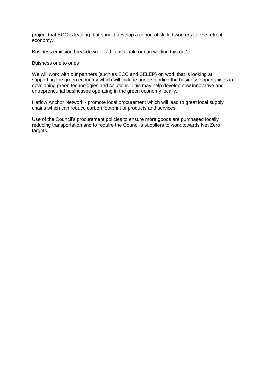project that ECC is leading that should develop a cohort of skilled workers for the retrofit economy.

Business emission breakdown – Is this available or can we find this out?

#### Buisness one to ones

We will work with our partners (such as ECC and SELEP) on work that is looking at supporting the green economy which will include understanding the business opportunities in developing green technologies and solutions. This may help develop new innovative and entrepreneurial businesses operating in the green economy locally.

Harlow Anchor Network - promote local procurement which will lead to great local supply chains which can reduce carbon footprint of products and services.

Use of the Council's procurement policies to ensure more goods are purchased locally reducing transportation and to require the Council's suppliers to work towards Net Zero targets.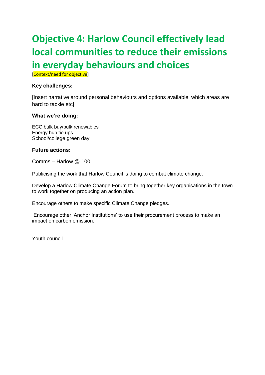## **Objective 4: Harlow Council effectively lead local communities to reduce their emissions in everyday behaviours and choices**

[Context/need for objective]

#### **Key challenges:**

[Insert narrative around personal behaviours and options available, which areas are hard to tackle etc]

#### **What we're doing:**

ECC bulk buy/bulk renewables Energy hub tie ups School/college green day

#### **Future actions:**

Comms – Harlow @ 100

Publicising the work that Harlow Council is doing to combat climate change.

Develop a Harlow Climate Change Forum to bring together key organisations in the town to work together on producing an action plan.

Encourage others to make specific Climate Change pledges.

Encourage other 'Anchor Institutions' to use their procurement process to make an impact on carbon emission.

Youth council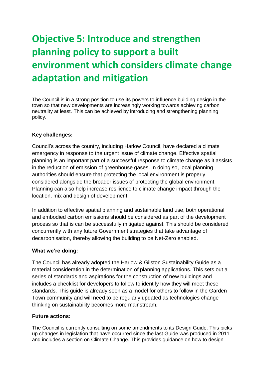## **Objective 5: Introduce and strengthen planning policy to support a built environment which considers climate change adaptation and mitigation**

The Council is in a strong position to use its powers to influence building design in the town so that new developments are increasingly working towards achieving carbon neutrality at least. This can be achieved by introducing and strengthening planning policy.

#### **Key challenges:**

Council's across the country, including Harlow Council, have declared a climate emergency in response to the urgent issue of climate change. Effective spatial planning is an important part of a successful response to climate change as it assists in the reduction of emission of greenhouse gases. In doing so, local planning authorities should ensure that protecting the local environment is properly considered alongside the broader issues of protecting the global environment. Planning can also help increase resilience to climate change impact through the location, mix and design of development.

In addition to effective spatial planning and sustainable land use, both operational and embodied carbon emissions should be considered as part of the development process so that is can be successfully mitigated against. This should be considered concurrently with any future Government strategies that take advantage of decarbonisation, thereby allowing the building to be Net-Zero enabled.

#### **What we're doing:**

The Council has already adopted the Harlow & Gilston Sustainability Guide as a material consideration in the determination of planning applications. This sets out a series of standards and aspirations for the construction of new buildings and includes a checklist for developers to follow to identify how they will meet these standards. This guide is already seen as a model for others to follow in the Garden Town community and will need to be regularly updated as technologies change thinking on sustainability becomes more mainstream.

#### **Future actions:**

The Council is currently consulting on some amendments to its Design Guide. This picks up changes in legislation that have occurred since the last Guide was produced in 2011 and includes a section on Climate Change. This provides guidance on how to design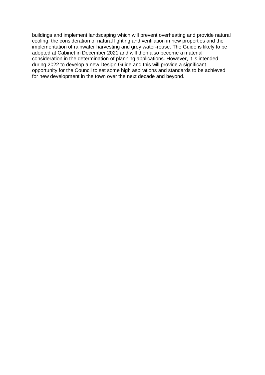buildings and implement landscaping which will prevent overheating and provide natural cooling, the consideration of natural lighting and ventilation in new properties and the implementation of rainwater harvesting and grey water-reuse. The Guide is likely to be adopted at Cabinet in December 2021 and will then also become a material consideration in the determination of planning applications. However, it is intended during 2022 to develop a new Design Guide and this will provide a significant opportunity for the Council to set some high aspirations and standards to be achieved for new development in the town over the next decade and beyond.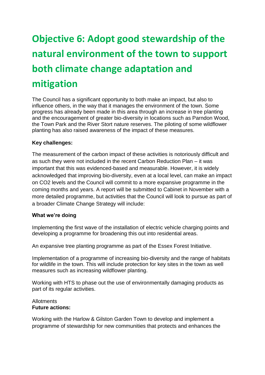# **Objective 6: Adopt good stewardship of the natural environment of the town to support both climate change adaptation and mitigation**

The Council has a significant opportunity to both make an impact, but also to influence others, in the way that it manages the environment of the town. Some progress has already been made in this area through an increase in tree planting and the encouragement of greater bio-diversity in locations such as Parndon Wood, the Town Park and the River Stort nature reserves. The piloting of some wildflower planting has also raised awareness of the impact of these measures.

#### **Key challenges:**

The measurement of the carbon impact of these activities is notoriously difficult and as such they were not included in the recent Carbon Reduction Plan – it was important that this was evidenced-based and measurable. However, it is widely acknowledged that improving bio-diversity, even at a local level, can make an impact on CO2 levels and the Council will commit to a more expansive programme in the coming months and years. A report will be submitted to Cabinet in November with a more detailed programme, but activities that the Council will look to pursue as part of a broader Climate Change Strategy will include:

#### **What we're doing**

Implementing the first wave of the installation of electric vehicle charging points and developing a programme for broadening this out into residential areas.

An expansive tree planting programme as part of the Essex Forest Initiative.

Implementation of a programme of increasing bio-diversity and the range of habitats for wildlife in the town. This will include protection for key sites in the town as well measures such as increasing wildflower planting.

Working with HTS to phase out the use of environmentally damaging products as part of its regular activities.

#### Allotments **Future actions:**

Working with the Harlow & Gilston Garden Town to develop and implement a programme of stewardship for new communities that protects and enhances the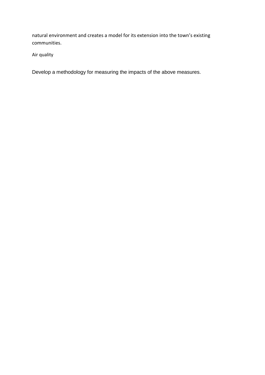natural environment and creates a model for its extension into the town's existing communities.

Air quality

Develop a methodology for measuring the impacts of the above measures.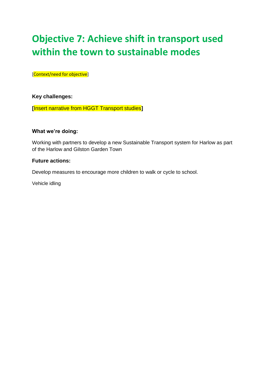### **Objective 7: Achieve shift in transport used within the town to sustainable modes**

[Context/need for objective]

**Key challenges:**

**[**Insert narrative from HGGT Transport studies**]**

#### **What we're doing:**

Working with partners to develop a new Sustainable Transport system for Harlow as part of the Harlow and Gilston Garden Town

#### **Future actions:**

Develop measures to encourage more children to walk or cycle to school.

Vehicle idling